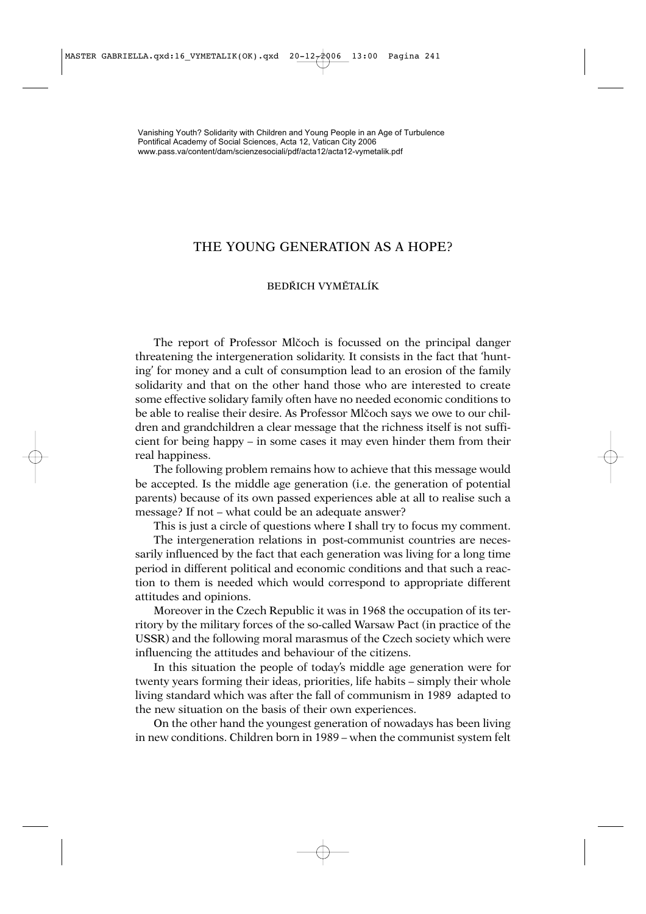## THE YOUNG GENERATION AS A HOPE?

## BEDŘICH VYMĚTALÍK

The report of Professor Mlčoch is focussed on the principal danger threatening the intergeneration solidarity. It consists in the fact that 'hunting' for money and a cult of consumption lead to an erosion of the family solidarity and that on the other hand those who are interested to create some effective solidary family often have no needed economic conditions to be able to realise their desire. As Professor Mlčoch says we owe to our children and grandchildren a clear message that the richness itself is not sufficient for being happy – in some cases it may even hinder them from their real happiness.

The following problem remains how to achieve that this message would be accepted. Is the middle age generation (i.e. the generation of potential parents) because of its own passed experiences able at all to realise such a message? If not – what could be an adequate answer?

This is just a circle of questions where I shall try to focus my comment.

The intergeneration relations in post-communist countries are necessarily influenced by the fact that each generation was living for a long time period in different political and economic conditions and that such a reaction to them is needed which would correspond to appropriate different attitudes and opinions.

Moreover in the Czech Republic it was in 1968 the occupation of its territory by the military forces of the so-called Warsaw Pact (in practice of the USSR) and the following moral marasmus of the Czech society which were influencing the attitudes and behaviour of the citizens.

In this situation the people of today's middle age generation were for twenty years forming their ideas, priorities, life habits – simply their whole living standard which was after the fall of communism in 1989 adapted to the new situation on the basis of their own experiences.

On the other hand the youngest generation of nowadays has been living in new conditions. Children born in 1989 – when the communist system felt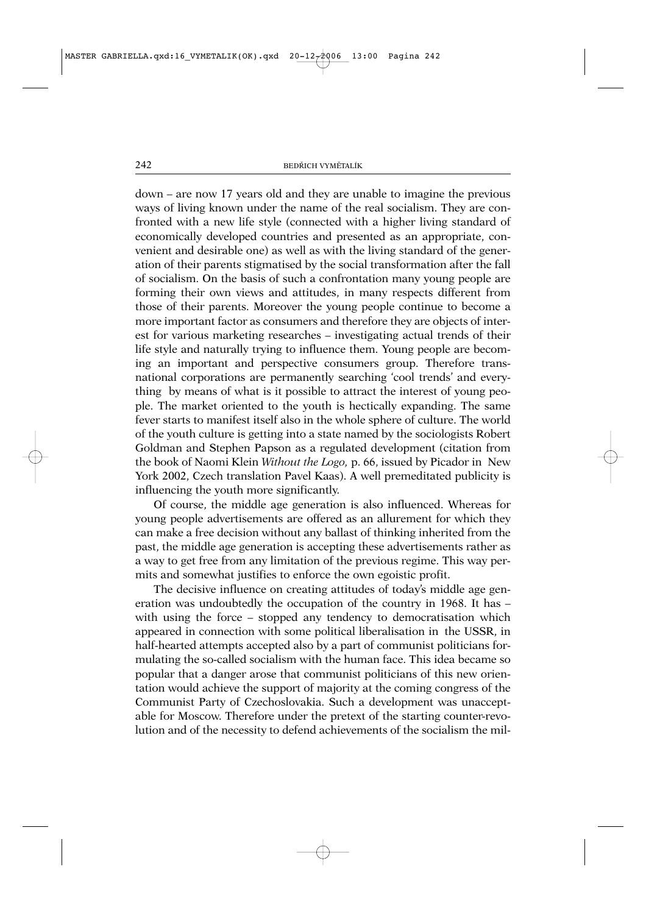down – are now 17 years old and they are unable to imagine the previous ways of living known under the name of the real socialism. They are confronted with a new life style (connected with a higher living standard of economically developed countries and presented as an appropriate, convenient and desirable one) as well as with the living standard of the generation of their parents stigmatised by the social transformation after the fall of socialism. On the basis of such a confrontation many young people are forming their own views and attitudes, in many respects different from those of their parents. Moreover the young people continue to become a more important factor as consumers and therefore they are objects of interest for various marketing researches – investigating actual trends of their life style and naturally trying to influence them. Young people are becoming an important and perspective consumers group. Therefore transnational corporations are permanently searching 'cool trends' and everything by means of what is it possible to attract the interest of young people. The market oriented to the youth is hectically expanding. The same fever starts to manifest itself also in the whole sphere of culture. The world of the youth culture is getting into a state named by the sociologists Robert Goldman and Stephen Papson as a regulated development (citation from the book of Naomi Klein *Without the Logo,* p. 66, issued by Picador in New York 2002, Czech translation Pavel Kaas). A well premeditated publicity is influencing the youth more significantly.

Of course, the middle age generation is also influenced. Whereas for young people advertisements are offered as an allurement for which they can make a free decision without any ballast of thinking inherited from the past, the middle age generation is accepting these advertisements rather as a way to get free from any limitation of the previous regime. This way permits and somewhat justifies to enforce the own egoistic profit.

The decisive influence on creating attitudes of today's middle age generation was undoubtedly the occupation of the country in 1968. It has – with using the force – stopped any tendency to democratisation which appeared in connection with some political liberalisation in the USSR, in half-hearted attempts accepted also by a part of communist politicians formulating the so-called socialism with the human face. This idea became so popular that a danger arose that communist politicians of this new orientation would achieve the support of majority at the coming congress of the Communist Party of Czechoslovakia. Such a development was unacceptable for Moscow. Therefore under the pretext of the starting counter-revolution and of the necessity to defend achievements of the socialism the mil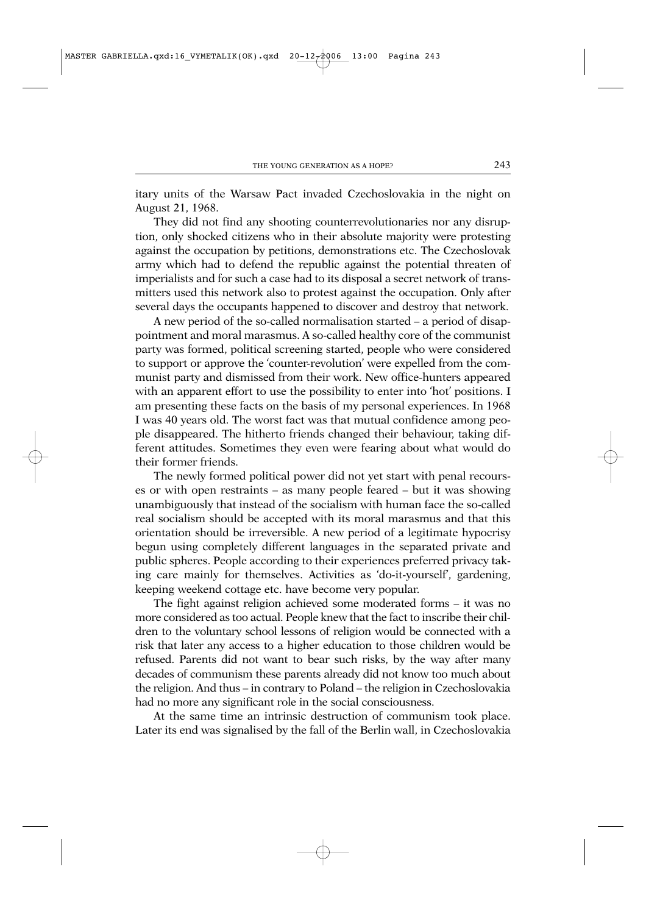itary units of the Warsaw Pact invaded Czechoslovakia in the night on August 21, 1968.

They did not find any shooting counterrevolutionaries nor any disruption, only shocked citizens who in their absolute majority were protesting against the occupation by petitions, demonstrations etc. The Czechoslovak army which had to defend the republic against the potential threaten of imperialists and for such a case had to its disposal a secret network of transmitters used this network also to protest against the occupation. Only after several days the occupants happened to discover and destroy that network.

A new period of the so-called normalisation started – a period of disappointment and moral marasmus. A so-called healthy core of the communist party was formed, political screening started, people who were considered to support or approve the 'counter-revolution' were expelled from the communist party and dismissed from their work. New office-hunters appeared with an apparent effort to use the possibility to enter into 'hot' positions. I am presenting these facts on the basis of my personal experiences. In 1968 I was 40 years old. The worst fact was that mutual confidence among people disappeared. The hitherto friends changed their behaviour, taking different attitudes. Sometimes they even were fearing about what would do their former friends.

The newly formed political power did not yet start with penal recourses or with open restraints – as many people feared – but it was showing unambiguously that instead of the socialism with human face the so-called real socialism should be accepted with its moral marasmus and that this orientation should be irreversible. A new period of a legitimate hypocrisy begun using completely different languages in the separated private and public spheres. People according to their experiences preferred privacy taking care mainly for themselves. Activities as 'do-it-yourself', gardening, keeping weekend cottage etc. have become very popular.

The fight against religion achieved some moderated forms – it was no more considered as too actual. People knew that the fact to inscribe their children to the voluntary school lessons of religion would be connected with a risk that later any access to a higher education to those children would be refused. Parents did not want to bear such risks, by the way after many decades of communism these parents already did not know too much about the religion. And thus – in contrary to Poland – the religion in Czechoslovakia had no more any significant role in the social consciousness.

At the same time an intrinsic destruction of communism took place. Later its end was signalised by the fall of the Berlin wall, in Czechoslovakia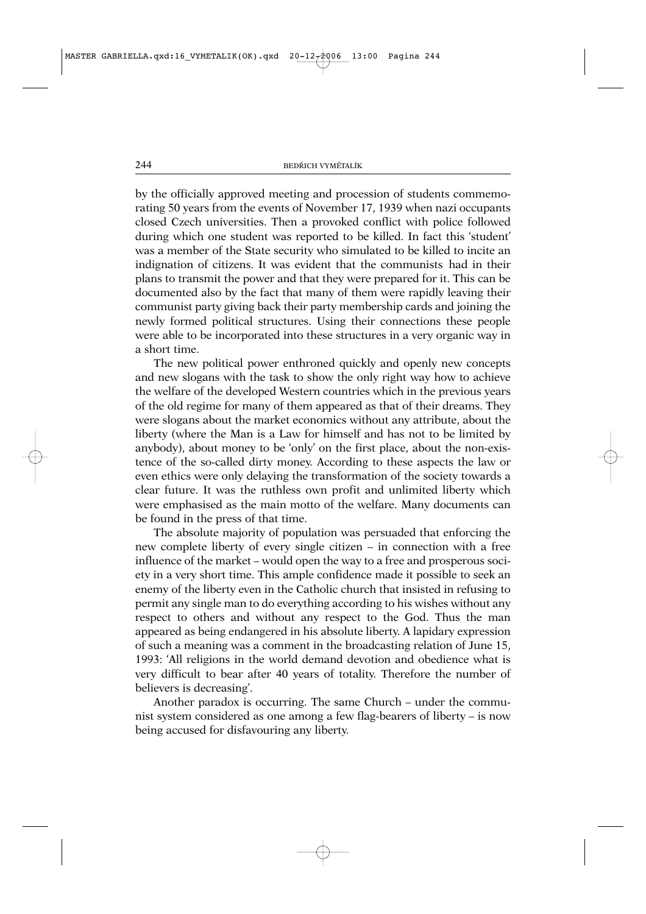by the officially approved meeting and procession of students commemorating 50 years from the events of November 17, 1939 when nazi occupants closed Czech universities. Then a provoked conflict with police followed during which one student was reported to be killed. In fact this 'student' was a member of the State security who simulated to be killed to incite an indignation of citizens. It was evident that the communists had in their plans to transmit the power and that they were prepared for it. This can be documented also by the fact that many of them were rapidly leaving their communist party giving back their party membership cards and joining the newly formed political structures. Using their connections these people were able to be incorporated into these structures in a very organic way in a short time.

The new political power enthroned quickly and openly new concepts and new slogans with the task to show the only right way how to achieve the welfare of the developed Western countries which in the previous years of the old regime for many of them appeared as that of their dreams. They were slogans about the market economics without any attribute, about the liberty (where the Man is a Law for himself and has not to be limited by anybody), about money to be 'only' on the first place, about the non-existence of the so-called dirty money. According to these aspects the law or even ethics were only delaying the transformation of the society towards a clear future. It was the ruthless own profit and unlimited liberty which were emphasised as the main motto of the welfare. Many documents can be found in the press of that time.

The absolute majority of population was persuaded that enforcing the new complete liberty of every single citizen – in connection with a free influence of the market – would open the way to a free and prosperous society in a very short time. This ample confidence made it possible to seek an enemy of the liberty even in the Catholic church that insisted in refusing to permit any single man to do everything according to his wishes without any respect to others and without any respect to the God. Thus the man appeared as being endangered in his absolute liberty. A lapidary expression of such a meaning was a comment in the broadcasting relation of June 15, 1993: 'All religions in the world demand devotion and obedience what is very difficult to bear after 40 years of totality. Therefore the number of believers is decreasing'.

Another paradox is occurring. The same Church – under the communist system considered as one among a few flag-bearers of liberty – is now being accused for disfavouring any liberty.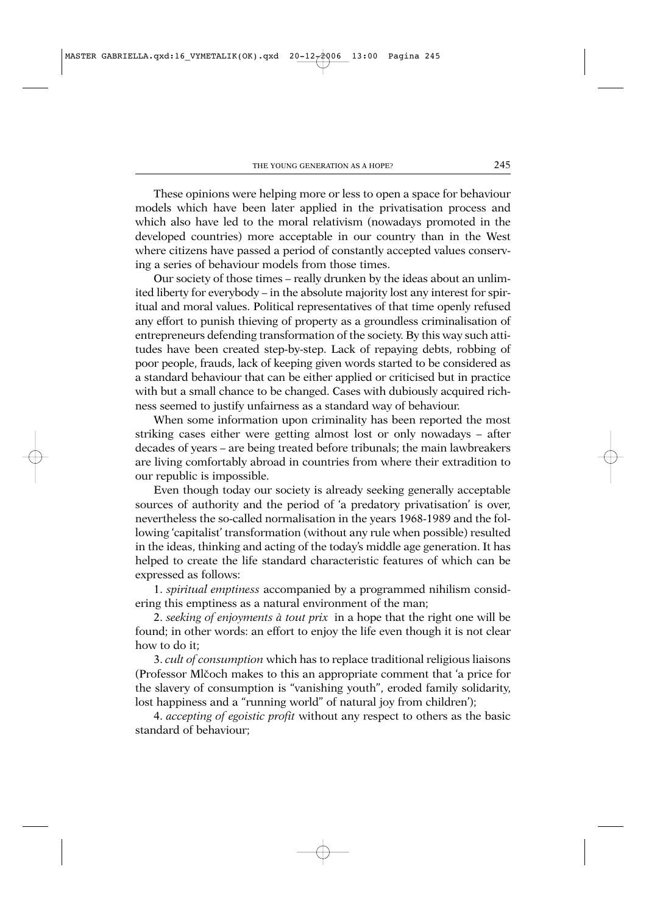These opinions were helping more or less to open a space for behaviour models which have been later applied in the privatisation process and which also have led to the moral relativism (nowadays promoted in the developed countries) more acceptable in our country than in the West where citizens have passed a period of constantly accepted values conserving a series of behaviour models from those times.

Our society of those times – really drunken by the ideas about an unlimited liberty for everybody – in the absolute majority lost any interest for spiritual and moral values. Political representatives of that time openly refused any effort to punish thieving of property as a groundless criminalisation of entrepreneurs defending transformation of the society. By this way such attitudes have been created step-by-step. Lack of repaying debts, robbing of poor people, frauds, lack of keeping given words started to be considered as a standard behaviour that can be either applied or criticised but in practice with but a small chance to be changed. Cases with dubiously acquired richness seemed to justify unfairness as a standard way of behaviour.

When some information upon criminality has been reported the most striking cases either were getting almost lost or only nowadays – after decades of years – are being treated before tribunals; the main lawbreakers are living comfortably abroad in countries from where their extradition to our republic is impossible.

Even though today our society is already seeking generally acceptable sources of authority and the period of 'a predatory privatisation' is over, nevertheless the so-called normalisation in the years 1968-1989 and the following 'capitalist' transformation (without any rule when possible) resulted in the ideas, thinking and acting of the today's middle age generation. It has helped to create the life standard characteristic features of which can be expressed as follows:

1. *spiritual emptiness* accompanied by a programmed nihilism considering this emptiness as a natural environment of the man;

2. *seeking of enjoyments à tout prix* in a hope that the right one will be found; in other words: an effort to enjoy the life even though it is not clear how to do it;

3. *cult of consumption* which has to replace traditional religious liaisons (Professor Mlčoch makes to this an appropriate comment that 'a price for the slavery of consumption is "vanishing youth", eroded family solidarity, lost happiness and a "running world" of natural joy from children');

4. *accepting of egoistic profit* without any respect to others as the basic standard of behaviour;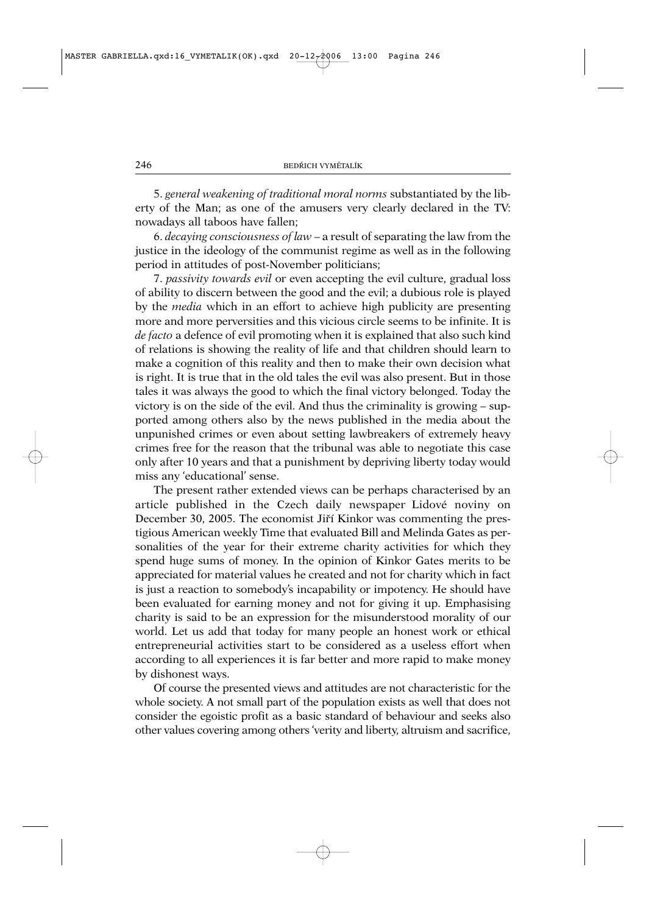5. *general weakening of traditional moral norms* substantiated by the liberty of the Man; as one of the amusers very clearly declared in the TV: nowadays all taboos have fallen;

6. *decaying consciousness of law* – a result of separating the law from the justice in the ideology of the communist regime as well as in the following period in attitudes of post-November politicians;

7. *passivity towards evil* or even accepting the evil culture, gradual loss of ability to discern between the good and the evil; a dubious role is played by the *media* which in an effort to achieve high publicity are presenting more and more perversities and this vicious circle seems to be infinite. It is *de facto* a defence of evil promoting when it is explained that also such kind of relations is showing the reality of life and that children should learn to make a cognition of this reality and then to make their own decision what is right. It is true that in the old tales the evil was also present. But in those tales it was always the good to which the final victory belonged. Today the victory is on the side of the evil. And thus the criminality is growing – supported among others also by the news published in the media about the unpunished crimes or even about setting lawbreakers of extremely heavy crimes free for the reason that the tribunal was able to negotiate this case only after 10 years and that a punishment by depriving liberty today would miss any 'educational' sense.

The present rather extended views can be perhaps characterised by an article published in the Czech daily newspaper Lidové noviny on December 30, 2005. The economist Jiří Kinkor was commenting the prestigious American weekly Time that evaluated Bill and Melinda Gates as personalities of the year for their extreme charity activities for which they spend huge sums of money. In the opinion of Kinkor Gates merits to be appreciated for material values he created and not for charity which in fact is just a reaction to somebody's incapability or impotency. He should have been evaluated for earning money and not for giving it up. Emphasising charity is said to be an expression for the misunderstood morality of our world. Let us add that today for many people an honest work or ethical entrepreneurial activities start to be considered as a useless effort when according to all experiences it is far better and more rapid to make money by dishonest ways.

Of course the presented views and attitudes are not characteristic for the whole society. A not small part of the population exists as well that does not consider the egoistic profit as a basic standard of behaviour and seeks also other values covering among others 'verity and liberty, altruism and sacrifice,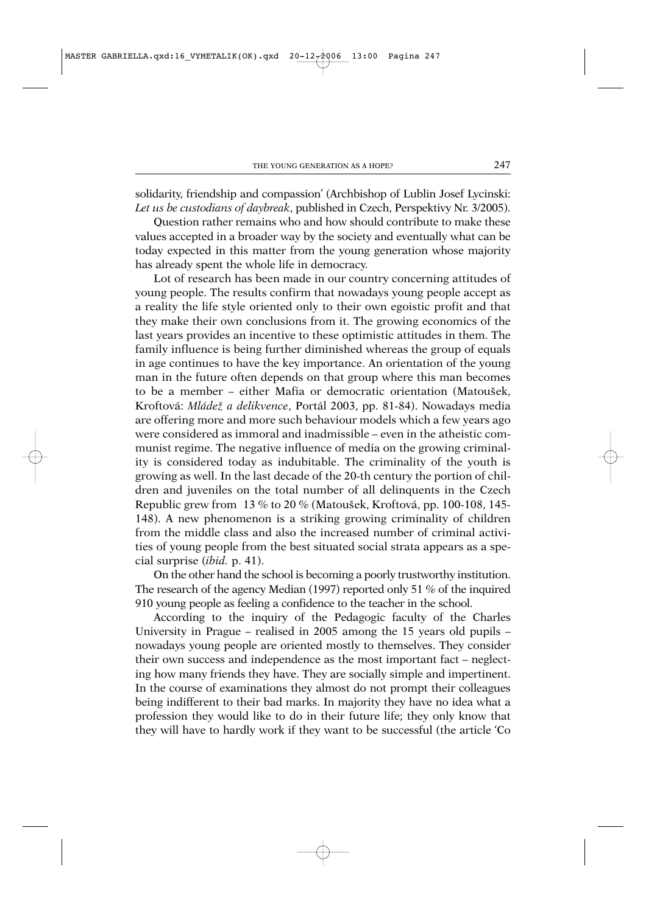solidarity, friendship and compassion' (Archbishop of Lublin Josef Lycinski: *Let us be custodians of daybreak*, published in Czech, Perspektivy Nr. 3/2005).

Question rather remains who and how should contribute to make these values accepted in a broader way by the society and eventually what can be today expected in this matter from the young generation whose majority has already spent the whole life in democracy.

Lot of research has been made in our country concerning attitudes of young people. The results confirm that nowadays young people accept as a reality the life style oriented only to their own egoistic profit and that they make their own conclusions from it. The growing economics of the last years provides an incentive to these optimistic attitudes in them. The family influence is being further diminished whereas the group of equals in age continues to have the key importance. An orientation of the young man in the future often depends on that group where this man becomes to be a member – either Mafia or democratic orientation (Matoušek, Kroftová: *Mládezˇ a delikvence*, Portál 2003, pp. 81-84). Nowadays media are offering more and more such behaviour models which a few years ago were considered as immoral and inadmissible – even in the atheistic communist regime. The negative influence of media on the growing criminality is considered today as indubitable. The criminality of the youth is growing as well. In the last decade of the 20-th century the portion of children and juveniles on the total number of all delinquents in the Czech Republic grew from 13 % to 20 % (Matoušek, Kroftová, pp. 100-108, 145-148). A new phenomenon is a striking growing criminality of children from the middle class and also the increased number of criminal activities of young people from the best situated social strata appears as a special surprise (*ibid.* p. 41).

On the other hand the school is becoming a poorly trustworthy institution. The research of the agency Median (1997) reported only 51 % of the inquired 910 young people as feeling a confidence to the teacher in the school.

According to the inquiry of the Pedagogic faculty of the Charles University in Prague – realised in 2005 among the 15 years old pupils – nowadays young people are oriented mostly to themselves. They consider their own success and independence as the most important fact – neglecting how many friends they have. They are socially simple and impertinent. In the course of examinations they almost do not prompt their colleagues being indifferent to their bad marks. In majority they have no idea what a profession they would like to do in their future life; they only know that they will have to hardly work if they want to be successful (the article 'Co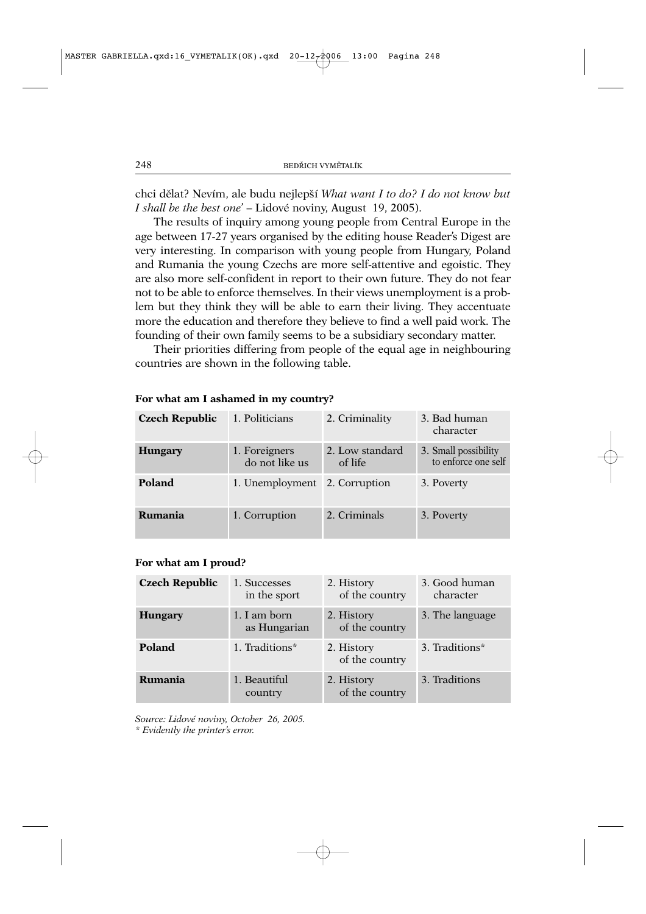chci dělat? Nevím, ale budu nejlepší *What want I to do? I do not know but I shall be the best one*' – Lidové noviny, August 19, 2005).

The results of inquiry among young people from Central Europe in the age between 17-27 years organised by the editing house Reader's Digest are very interesting. In comparison with young people from Hungary, Poland and Rumania the young Czechs are more self-attentive and egoistic. They are also more self-confident in report to their own future. They do not fear not to be able to enforce themselves. In their views unemployment is a problem but they think they will be able to earn their living. They accentuate more the education and therefore they believe to find a well paid work. The founding of their own family seems to be a subsidiary secondary matter.

Their priorities differing from people of the equal age in neighbouring countries are shown in the following table.

| <b>Czech Republic</b> | 1. Politicians                  | 2. Criminality             | 3. Bad human<br>character                   |
|-----------------------|---------------------------------|----------------------------|---------------------------------------------|
| <b>Hungary</b>        | 1. Foreigners<br>do not like us | 2. Low standard<br>of life | 3. Small possibility<br>to enforce one self |
| Poland                | 1. Unemployment 2. Corruption   |                            | 3. Poverty                                  |
| Rumania               | 1. Corruption                   | 2. Criminals               | 3. Poverty                                  |

## **For what am I ashamed in my country?**

## **For what am I proud?**

| <b>Czech Republic</b> | 1. Successes<br>in the sport | 2. History<br>of the country | 3. Good human<br>character |
|-----------------------|------------------------------|------------------------------|----------------------------|
| <b>Hungary</b>        | 1. I am born<br>as Hungarian | 2. History<br>of the country | 3. The language            |
| Poland                | 1. Traditions*               | 2. History<br>of the country | 3. Traditions*             |
| Rumania               | 1. Beautiful<br>country      | 2. History<br>of the country | 3. Traditions              |

*Source: Lidové noviny, October 26, 2005. \* Evidently the printer's error.*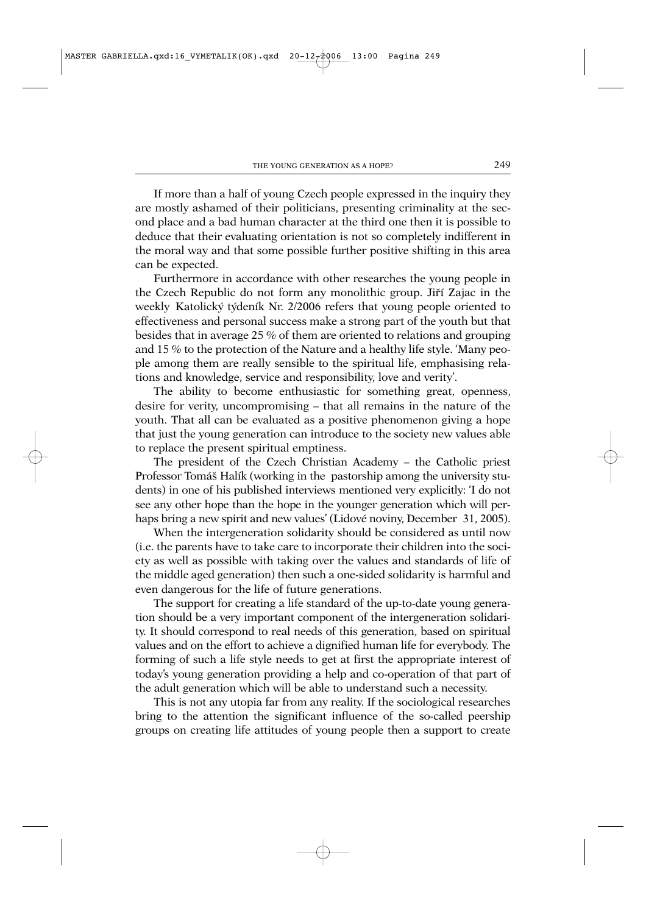If more than a half of young Czech people expressed in the inquiry they are mostly ashamed of their politicians, presenting criminality at the second place and a bad human character at the third one then it is possible to deduce that their evaluating orientation is not so completely indifferent in the moral way and that some possible further positive shifting in this area can be expected.

Furthermore in accordance with other researches the young people in the Czech Republic do not form any monolithic group. Jiří Zajac in the weekly Katolický týdeník Nr. 2/2006 refers that young people oriented to effectiveness and personal success make a strong part of the youth but that besides that in average 25 % of them are oriented to relations and grouping and 15 % to the protection of the Nature and a healthy life style. 'Many people among them are really sensible to the spiritual life, emphasising relations and knowledge, service and responsibility, love and verity'.

The ability to become enthusiastic for something great, openness, desire for verity, uncompromising – that all remains in the nature of the youth. That all can be evaluated as a positive phenomenon giving a hope that just the young generation can introduce to the society new values able to replace the present spiritual emptiness.

The president of the Czech Christian Academy – the Catholic priest Professor Tomáš Halík (working in the pastorship among the university students) in one of his published interviews mentioned very explicitly: 'I do not see any other hope than the hope in the younger generation which will perhaps bring a new spirit and new values' (Lidové noviny, December 31, 2005).

When the intergeneration solidarity should be considered as until now (i.e. the parents have to take care to incorporate their children into the society as well as possible with taking over the values and standards of life of the middle aged generation) then such a one-sided solidarity is harmful and even dangerous for the life of future generations.

The support for creating a life standard of the up-to-date young generation should be a very important component of the intergeneration solidarity. It should correspond to real needs of this generation, based on spiritual values and on the effort to achieve a dignified human life for everybody. The forming of such a life style needs to get at first the appropriate interest of today's young generation providing a help and co-operation of that part of the adult generation which will be able to understand such a necessity.

This is not any utopia far from any reality. If the sociological researches bring to the attention the significant influence of the so-called peership groups on creating life attitudes of young people then a support to create